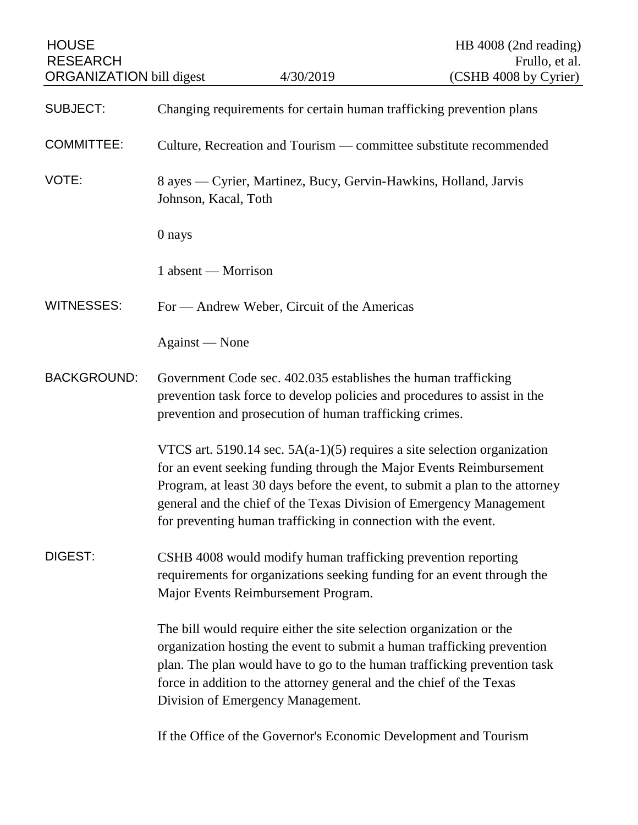| <b>HOUSE</b><br><b>RESEARCH</b> |                                                                                                                                                                                                                                                                                                                                          |                                                                                                                                                                                                                                                                                            | HB 4008 (2nd reading)<br>Frullo, et al.                                      |
|---------------------------------|------------------------------------------------------------------------------------------------------------------------------------------------------------------------------------------------------------------------------------------------------------------------------------------------------------------------------------------|--------------------------------------------------------------------------------------------------------------------------------------------------------------------------------------------------------------------------------------------------------------------------------------------|------------------------------------------------------------------------------|
| <b>ORGANIZATION bill digest</b> |                                                                                                                                                                                                                                                                                                                                          | 4/30/2019                                                                                                                                                                                                                                                                                  | (CSHB 4008 by Cyrier)                                                        |
| <b>SUBJECT:</b>                 | Changing requirements for certain human trafficking prevention plans                                                                                                                                                                                                                                                                     |                                                                                                                                                                                                                                                                                            |                                                                              |
| <b>COMMITTEE:</b>               | Culture, Recreation and Tourism — committee substitute recommended                                                                                                                                                                                                                                                                       |                                                                                                                                                                                                                                                                                            |                                                                              |
| VOTE:                           | Johnson, Kacal, Toth                                                                                                                                                                                                                                                                                                                     | 8 ayes — Cyrier, Martinez, Bucy, Gervin-Hawkins, Holland, Jarvis                                                                                                                                                                                                                           |                                                                              |
|                                 | 0 nays                                                                                                                                                                                                                                                                                                                                   |                                                                                                                                                                                                                                                                                            |                                                                              |
|                                 | 1 absent — Morrison                                                                                                                                                                                                                                                                                                                      |                                                                                                                                                                                                                                                                                            |                                                                              |
| <b>WITNESSES:</b>               |                                                                                                                                                                                                                                                                                                                                          | For — Andrew Weber, Circuit of the Americas                                                                                                                                                                                                                                                |                                                                              |
|                                 | Against — None                                                                                                                                                                                                                                                                                                                           |                                                                                                                                                                                                                                                                                            |                                                                              |
| <b>BACKGROUND:</b>              | Government Code sec. 402.035 establishes the human trafficking<br>prevention task force to develop policies and procedures to assist in the<br>prevention and prosecution of human trafficking crimes.                                                                                                                                   |                                                                                                                                                                                                                                                                                            |                                                                              |
|                                 |                                                                                                                                                                                                                                                                                                                                          | VTCS art. 5190.14 sec. $5A(a-1)(5)$ requires a site selection organization<br>for an event seeking funding through the Major Events Reimbursement<br>general and the chief of the Texas Division of Emergency Management<br>for preventing human trafficking in connection with the event. | Program, at least 30 days before the event, to submit a plan to the attorney |
| DIGEST:                         |                                                                                                                                                                                                                                                                                                                                          | CSHB 4008 would modify human trafficking prevention reporting<br>requirements for organizations seeking funding for an event through the<br>Major Events Reimbursement Program.                                                                                                            |                                                                              |
|                                 | The bill would require either the site selection organization or the<br>organization hosting the event to submit a human trafficking prevention<br>plan. The plan would have to go to the human trafficking prevention task<br>force in addition to the attorney general and the chief of the Texas<br>Division of Emergency Management. |                                                                                                                                                                                                                                                                                            |                                                                              |
|                                 |                                                                                                                                                                                                                                                                                                                                          | If the Office of the Governor's Economic Development and Tourism                                                                                                                                                                                                                           |                                                                              |